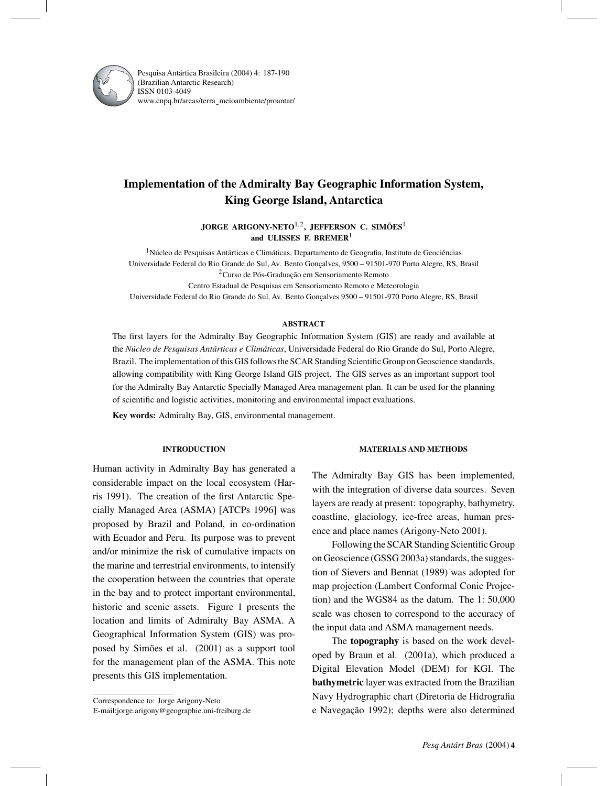

Pesquisa Antártica Brasileira (2004) 4: 187-190 (Brazilian Antarctic Research) ISSN 0103-4049 www.cnpq.br/areas/terra¯ meioambiente/proantar/

# **Implementation of the Admiralty Bay Geographic Information System, King George Island, Antarctica**

**JORGE ARIGONY-NETO**1,2**, JEFFERSON C. SIMÕES**<sup>1</sup> **and ULISSES F. BREMER**<sup>1</sup>

 $<sup>1</sup>$ Núcleo de Pesquisas Antárticas e Climáticas, Departamento de Geografia, Instituto de Geociências</sup> Universidade Federal do Rio Grande do Sul, Av. Bento Gonçalves, 9500 – 91501-970 Porto Alegre, RS, Brasil 2Curso de Pós-Graduação em Sensoriamento Remoto Centro Estadual de Pesquisas em Sensoriamento Remoto e Meteorologia

Universidade Federal do Rio Grande do Sul, Av. Bento Gonçalves 9500 – 91501-970 Porto Alegre, RS, Brasil

#### **ABSTRACT**

The first layers for the Admiralty Bay Geographic Information System (GIS) are ready and available at the *Núcleo de Pesquisas Antárticas e Climáticas*, Universidade Federal do Rio Grande do Sul, Porto Alegre, Brazil. The implementation of this GIS follows the SCAR Standing Scientific Group on Geoscience standards, allowing compatibility with King George Island GIS project. The GIS serves as an important support tool for the Admiralty Bay Antarctic Specially Managed Area management plan. It can be used for the planning of scientific and logistic activities, monitoring and environmental impact evaluations.

**Key words:** Admiralty Bay, GIS, environmental management.

## **INTRODUCTION**

Human activity in Admiralty Bay has generated a considerable impact on the local ecosystem (Harris 1991). The creation of the first Antarctic Specially Managed Area (ASMA) [ATCPs 1996] was proposed by Brazil and Poland, in co-ordination with Ecuador and Peru. Its purpose was to prevent and/or minimize the risk of cumulative impacts on the marine and terrestrial environments, to intensify the cooperation between the countries that operate in the bay and to protect important environmental, historic and scenic assets. Figure 1 presents the location and limits of Admiralty Bay ASMA. A Geographical Information System (GIS) was proposed by Simões et al. (2001) as a support tool for the management plan of the ASMA. This note presents this GIS implementation.

Correspondence to: Jorge Arigony-Neto

## E-mail:jorge.arigony@geographie.uni-freiburg.de

#### **MATERIALS AND METHODS**

The Admiralty Bay GIS has been implemented, with the integration of diverse data sources. Seven layers are ready at present: topography, bathymetry, coastline, glaciology, ice-free areas, human presence and place names (Arigony-Neto 2001).

Following the SCAR Standing Scientific Group on Geoscience (GSSG 2003a) standards, the suggestion of Sievers and Bennat (1989) was adopted for map projection (Lambert Conformal Conic Projection) and the WGS84 as the datum. The 1: 50,000 scale was chosen to correspond to the accuracy of the input data and ASMA management needs.

The **topography** is based on the work developed by Braun et al. (2001a), which produced a Digital Elevation Model (DEM) for KGI. The **bathymetric** layer was extracted from the Brazilian Navy Hydrographic chart (Diretoria de Hidrografia e Navegação 1992); depths were also determined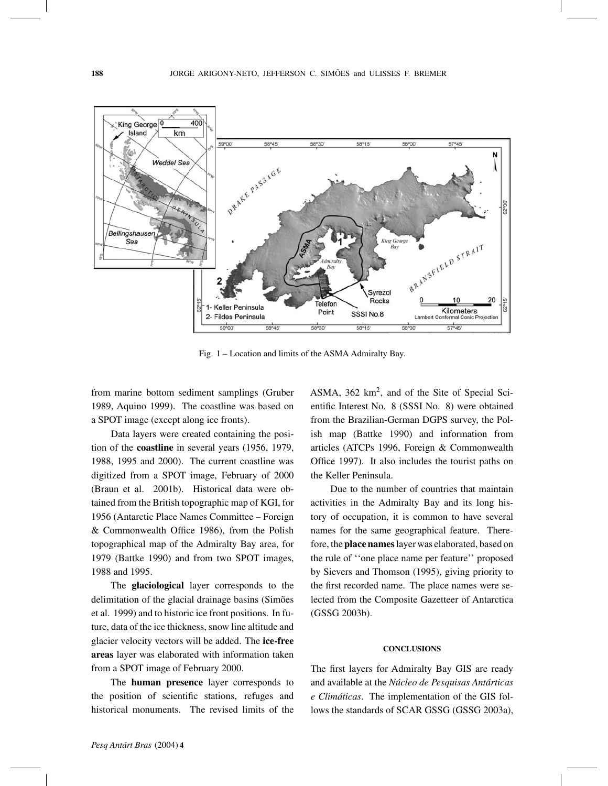

Fig. 1 – Location and limits of the ASMA Admiralty Bay.

from marine bottom sediment samplings (Gruber 1989, Aquino 1999). The coastline was based on a SPOT image (except along ice fronts).

Data layers were created containing the position of the **coastline** in several years (1956, 1979, 1988, 1995 and 2000). The current coastline was digitized from a SPOT image, February of 2000 (Braun et al. 2001b). Historical data were obtained from the British topographic map of KGI, for 1956 (Antarctic Place Names Committee – Foreign & Commonwealth Office 1986), from the Polish topographical map of the Admiralty Bay area, for 1979 (Battke 1990) and from two SPOT images, 1988 and 1995.

The **glaciological** layer corresponds to the delimitation of the glacial drainage basins (Simões et al. 1999) and to historic ice front positions. In future, data of the ice thickness, snow line altitude and glacier velocity vectors will be added. The **ice-free areas** layer was elaborated with information taken from a SPOT image of February 2000.

The **human presence** layer corresponds to the position of scientific stations, refuges and historical monuments. The revised limits of the

ASMA,  $362 \text{ km}^2$ , and of the Site of Special Scientific Interest No. 8 (SSSI No. 8) were obtained from the Brazilian-German DGPS survey, the Polish map (Battke 1990) and information from articles (ATCPs 1996, Foreign & Commonwealth Office 1997). It also includes the tourist paths on the Keller Peninsula.

Due to the number of countries that maintain activities in the Admiralty Bay and its long history of occupation, it is common to have several names for the same geographical feature. Therefore, the **place names**layer was elaborated, based on the rule of ''one place name per feature'' proposed by Sievers and Thomson (1995), giving priority to the first recorded name. The place names were selected from the Composite Gazetteer of Antarctica (GSSG 2003b).

#### **CONCLUSIONS**

The first layers for Admiralty Bay GIS are ready and available at the *Núcleo de Pesquisas Antárticas e Climáticas*. The implementation of the GIS follows the standards of SCAR GSSG (GSSG 2003a),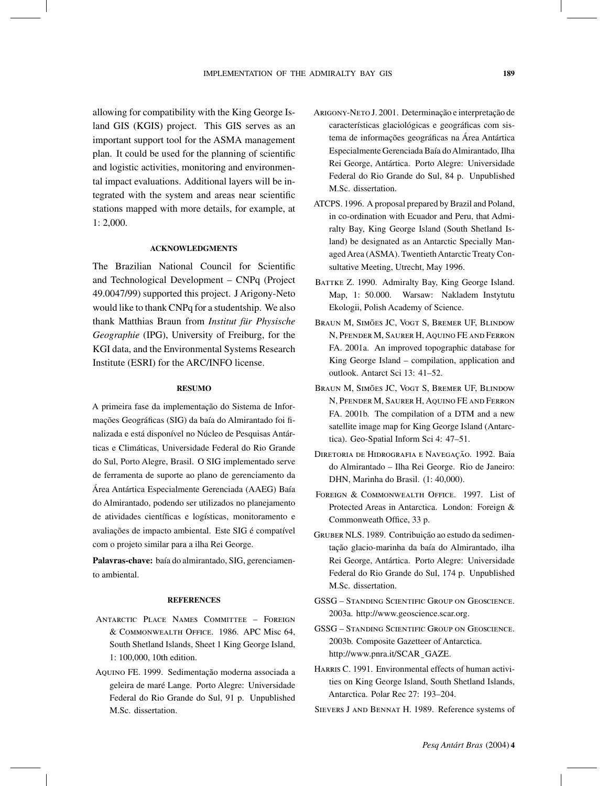allowing for compatibility with the King George Island GIS (KGIS) project. This GIS serves as an important support tool for the ASMA management plan. It could be used for the planning of scientific and logistic activities, monitoring and environmental impact evaluations. Additional layers will be integrated with the system and areas near scientific stations mapped with more details, for example, at 1: 2,000.

## **ACKNOWLEDGMENTS**

The Brazilian National Council for Scientific and Technological Development – CNPq (Project 49.0047/99) supported this project. J Arigony-Neto would like to thank CNPq for a studentship. We also thank Matthias Braun from *Institut für Physische Geographie* (IPG), University of Freiburg, for the KGI data, and the Environmental Systems Research Institute (ESRI) for the ARC/INFO license.

#### **RESUMO**

A primeira fase da implementação do Sistema de Informações Geográficas (SIG) da baía do Almirantado foi finalizada e está disponível no Núcleo de Pesquisas Antárticas e Climáticas, Universidade Federal do Rio Grande do Sul, Porto Alegre, Brasil. O SIG implementado serve de ferramenta de suporte ao plano de gerenciamento da Área Antártica Especialmente Gerenciada (AAEG) Baía do Almirantado, podendo ser utilizados no planejamento de atividades científicas e logísticas, monitoramento e avaliações de impacto ambiental. Este SIG é compatível com o projeto similar para a ilha Rei George.

**Palavras-chave:** baía do almirantado, SIG, gerenciamento ambiental.

### **REFERENCES**

- Antarctic Place Names Committee Foreign & Commonwealth Office. 1986. APC Misc 64, South Shetland Islands, Sheet 1 King George Island, 1: 100,000, 10th edition.
- Aquino FE. 1999. Sedimentação moderna associada a geleira de maré Lange. Porto Alegre: Universidade Federal do Rio Grande do Sul, 91 p. Unpublished M.Sc. dissertation.
- Arigony-Neto J. 2001. Determinação e interpretação de características glaciológicas e geográficas com sistema de informações geográficas na Área Antártica Especialmente Gerenciada Baía doAlmirantado, Ilha Rei George, Antártica. Porto Alegre: Universidade Federal do Rio Grande do Sul, 84 p. Unpublished M.Sc. dissertation.
- ATCPS. 1996. A proposal prepared by Brazil and Poland, in co-ordination with Ecuador and Peru, that Admiralty Bay, King George Island (South Shetland Island) be designated as an Antarctic Specially Managed Area (ASMA). Twentieth Antarctic Treaty Consultative Meeting, Utrecht, May 1996.
- BATTKE Z. 1990. Admiralty Bay, King George Island. Map, 1: 50.000. Warsaw: Nakladem Instytutu Ekologii, Polish Academy of Science.
- Braun M, Simões JC, Vogt S, Bremer UF, Blindow N, Pfender M, Saurer H, Aquino FE and Ferron FA. 2001a. An improved topographic database for King George Island – compilation, application and outlook. Antarct Sci 13: 41–52.
- Braun M, Simões JC, Vogt S, Bremer UF, Blindow N, PFENDER M, SAURER H, AQUINO FE AND FERRON FA. 2001b. The compilation of a DTM and a new satellite image map for King George Island (Antarctica). Geo-Spatial Inform Sci 4: 47–51.
- Diretoria de Hidrografia e Navegação. 1992. Baia do Almirantado – Ilha Rei George. Rio de Janeiro: DHN, Marinha do Brasil. (1: 40,000).
- FOREIGN & COMMONWEALTH OFFICE. 1997. List of Protected Areas in Antarctica. London: Foreign & Commonweath Office, 33 p.
- Gruber NLS. 1989. Contribuição ao estudo da sedimentação glacio-marinha da baía do Almirantado, ilha Rei George, Antártica. Porto Alegre: Universidade Federal do Rio Grande do Sul, 174 p. Unpublished M.Sc. dissertation.
- GSSG Standing Scientific Group on Geoscience. 2003a. http://www.geoscience.scar.org.
- GSSG Standing Scientific Group on Geoscience. 2003b. Composite Gazetteer of Antarctica. http://www.pnra.it/SCAR\_GAZE.
- HARRIS C. 1991. Environmental effects of human activities on King George Island, South Shetland Islands, Antarctica. Polar Rec 27: 193–204.
- Sievers J and Bennat H. 1989. Reference systems of